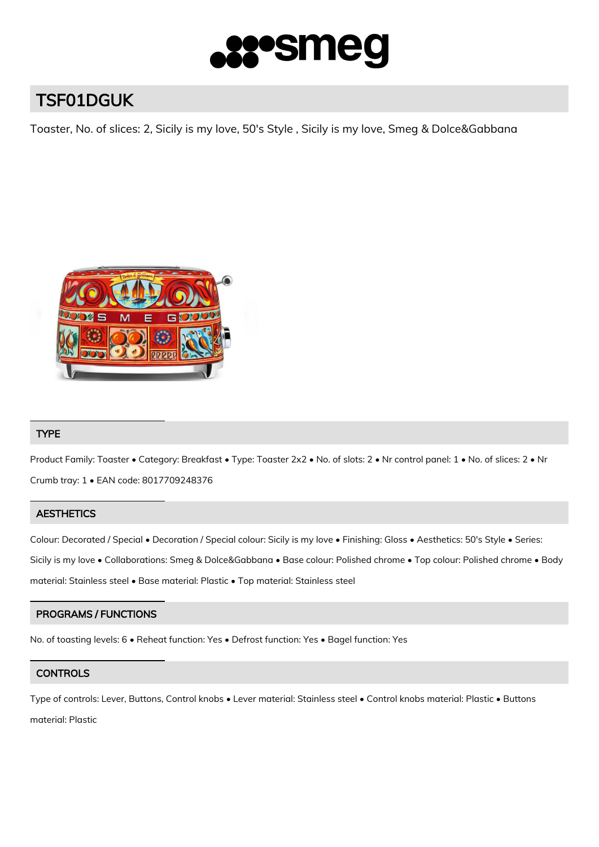

# TSF01DGUK

Toaster, No. of slices: 2, Sicily is my love, 50's Style , Sicily is my love, Smeg & Dolce&Gabbana



# TYPE

Product Family: Toaster • Category: Breakfast • Type: Toaster 2x2 • No. of slots: 2 • Nr control panel: 1 • No. of slices: 2 • Nr Crumb tray: 1 • EAN code: 8017709248376

# **AESTHETICS**

Colour: Decorated / Special • Decoration / Special colour: Sicily is my love • Finishing: Gloss • Aesthetics: 50's Style • Series: Sicily is my love • Collaborations: Smeg & Dolce&Gabbana • Base colour: Polished chrome • Top colour: Polished chrome • Body material: Stainless steel • Base material: Plastic • Top material: Stainless steel

# PROGRAMS / FUNCTIONS

No. of toasting levels: 6 • Reheat function: Yes • Defrost function: Yes • Bagel function: Yes

# **CONTROLS**

Type of controls: Lever, Buttons, Control knobs • Lever material: Stainless steel • Control knobs material: Plastic • Buttons material: Plastic